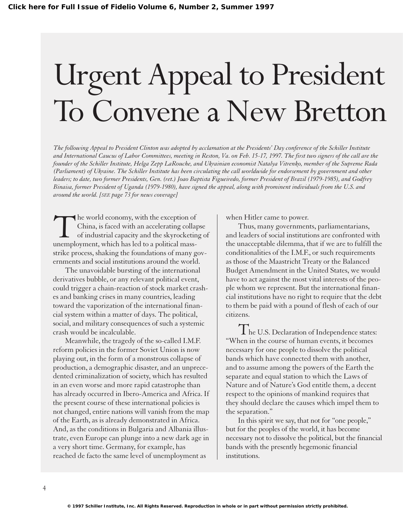## Urgent Appeal to President To Convene a New Bretton

*The following Appeal to President Clinton was adopted by acclamation at the Presidents' Day conference of the Schiller Institute and International Caucus of Labor Committees, meeting in Reston, Va. on Feb. 15-17, 1997. The first two signers of the call are the founder of the Schiller Institute, Helga Zepp LaRouche, and Ukrainian economist Natalya Vitrenko, member of the Supreme Rada (Parliament) of Ukraine. The Schiller Institute has been circulating the call worldwide for endorsement by government and other leaders; to date, two former Presidents, Gen. (ret.) Joao Baptista Figueiredo, former President of Brazil (1979-1985), and Godfrey Binaisa, former President of Uganda (1979-1980), have signed the appeal, along with prominent individuals from the U.S. and around the world. [SEE page 73 for news coverage]*

The world economy, with the exception of China, is faced with an accelerating collapse of industrial capacity and the skyrocketing of unemployment, which has led to a political massstrike process, shaking the foundations of many governments and social institutions around the world.

The unavoidable bursting of the international derivatives bubble, or any relevant political event, could trigger a chain-reaction of stock market crashes and banking crises in many countries, leading toward the vaporization of the international financial system within a matter of days. The political, social, and military consequences of such a systemic crash would be incalculable.

Meanwhile, the tragedy of the so-called I.M.F. reform policies in the former Soviet Union is now playing out, in the form of a monstrous collapse of production, a demographic disaster, and an unprecedented criminalization of society, which has resulted in an even worse and more rapid catastrophe than has already occurred in Ibero-America and Africa. If the present course of these international policies is not changed, entire nations will vanish from the map of the Earth, as is already demonstrated in Africa. And, as the conditions in Bulgaria and Albania illustrate, even Europe can plunge into a new dark age in a very short time. Germany, for example, has reached de facto the same level of unemployment as

when Hitler came to power.

Thus, many governments, parliamentarians, and leaders of social institutions are confronted with the unacceptable dilemma, that if we are to fulfill the conditionalities of the I.M.F., or such requirements as those of the Maastricht Treaty or the Balanced Budget Amendment in the United States, we would have to act against the most vital interests of the people whom we represent. But the international financial institutions have no right to require that the debt to them be paid with a pound of flesh of each of our citizens.

The U.S. Declaration of Independence states: "When in the course of human events, it becomes necessary for one people to dissolve the political bands which have connected them with another, and to assume among the powers of the Earth the separate and equal station to which the Laws of Nature and of Nature's God entitle them, a decent respect to the opinions of mankind requires that they should declare the causes which impel them to the separation."

In this spirit we say, that not for "one people," but for the peoples of the world, it has become necessary not to dissolve the political, but the financial bands with the presently hegemonic financial institutions.